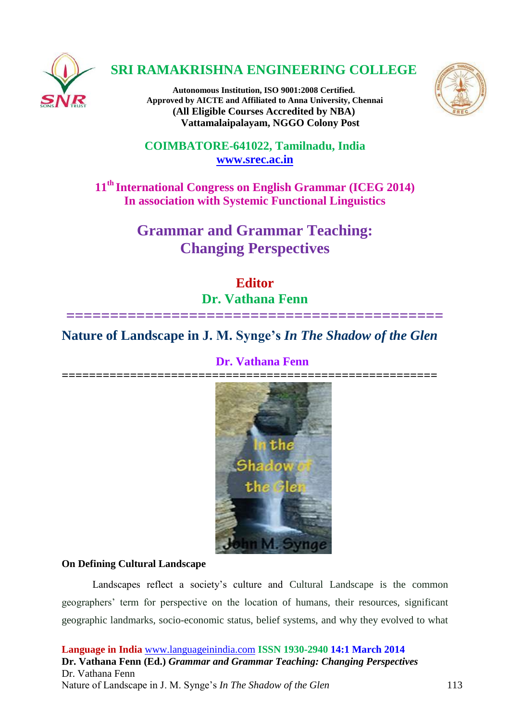

### **SRI RAMAKRISHNA ENGINEERING COLLEGE**

**Autonomous Institution, ISO 9001:2008 Certified. Approved by AICTE and Affiliated to Anna University, Chennai (All Eligible Courses Accredited by NBA) Vattamalaipalayam, NGGO Colony Post**



**COIMBATORE-641022, Tamilnadu, India [www.srec.ac.in](http://www.srec.ac.in/)**

**11th International Congress on English Grammar (ICEG 2014) In association with Systemic Functional Linguistics**

> **Grammar and Grammar Teaching: Changing Perspectives**

# **Editor Dr. Vathana Fenn**

**===========================================**

## **Nature of Landscape in J. M. Synge's** *In The Shadow of the Glen*

### **Dr. Vathana Fenn**



### **=======================================================**

#### **On Defining Cultural Landscape**

Landscapes reflect a society's culture and [Cultural Landscape](http://www.exampleessays.com/essay_search/cultural_landscape.html) is the common geographers' term for perspective on the location of humans, their resources, significant geographic landmarks, socio-economic status, belief systems, and why they evolved to what

**Language in India** [www.languageinindia.com](http://www.languageinindia.com/) **ISSN 1930-2940 14:1 March 2014 Dr. Vathana Fenn (Ed.)** *Grammar and Grammar Teaching: Changing Perspectives* Dr. Vathana Fenn Nature of Landscape in J. M. Synge's *In The Shadow of the Glen* 113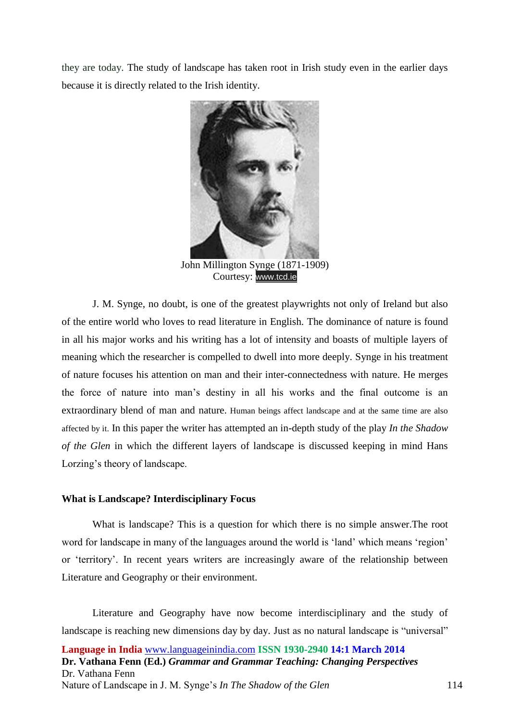they are today. The study of landscape has taken root in Irish study even in the earlier days because it is directly related to the Irish identity.



John Millington Synge (1871-1909) Courtesy: [www.tcd.ie](https://www.google.co.in/url?sa=i&rct=j&q=&esrc=s&source=images&cd=&cad=rja&docid=mkrA8LvA504HNM&tbnid=Q0LfUS1ILcydlM:&ved=0CAQQjB0&url=http%3A%2F%2Fwww.tcd.ie%2FCommunications%2Fnews%2Fpressreleases%2FpressRelease.php%3FheaderID%3D1132%26pressReleaseArchive%3D2009&ei=y48UU9rwD8KLrQfS74HYBg&bvm=bv.61965928,d.bmk&psig=AFQjCNGxhgq3Vb9tOVc-OlK-6OIXWxjS1A&ust=1393942727293485)

J. M. Synge, no doubt, is one of the greatest playwrights not only of Ireland but also of the entire world who loves to read literature in English. The dominance of nature is found in all his major works and his writing has a lot of intensity and boasts of multiple layers of meaning which the researcher is compelled to dwell into more deeply. Synge in his treatment of nature focuses his attention on man and their inter-connectedness with nature. He merges the force of nature into man's destiny in all his works and the final outcome is an extraordinary blend of man and nature. Human beings affect landscape and at the same time are also affected by it. In this paper the writer has attempted an in-depth study of the play *In the Shadow of the Glen* in which the different layers of landscape is discussed keeping in mind Hans Lorzing's theory of landscape.

#### **What is Landscape? Interdisciplinary Focus**

What is landscape? This is a question for which there is no simple answer.The root word for landscape in many of the languages around the world is 'land' which means 'region' or 'territory'. In recent years writers are increasingly aware of the relationship between Literature and Geography or their environment.

Literature and Geography have now become interdisciplinary and the study of landscape is reaching new dimensions day by day. Just as no natural landscape is "universal"

**Language in India** [www.languageinindia.com](http://www.languageinindia.com/) **ISSN 1930-2940 14:1 March 2014 Dr. Vathana Fenn (Ed.)** *Grammar and Grammar Teaching: Changing Perspectives* Dr. Vathana Fenn Nature of Landscape in J. M. Synge's *In The Shadow of the Glen* 114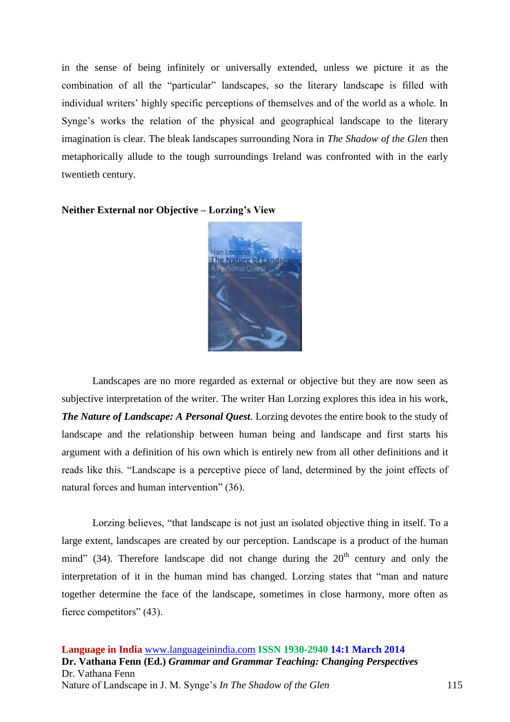in the sense of being infinitely or universally extended, unless we picture it as the combination of all the "particular" landscapes, so the literary landscape is filled with individual writers' highly specific perceptions of themselves and of the world as a whole. In Synge's works the relation of the physical and geographical landscape to the literary imagination is clear. The bleak landscapes surrounding Nora in *The Shadow of the Glen* then metaphorically allude to the tough surroundings Ireland was confronted with in the early twentieth century.



#### **Neither External nor Objective – Lorzing's View**

Landscapes are no more regarded as external or objective but they are now seen as subjective interpretation of the writer. The writer Han Lorzing explores this idea in his work, *The Nature of Landscape: A Personal Quest.* Lorzing devotes the entire book to the study of landscape and the relationship between human being and landscape and first starts his argument with a definition of his own which is entirely new from all other definitions and it reads like this. "Landscape is a perceptive piece of land, determined by the joint effects of natural forces and human intervention" (36).

Lorzing believes, "that landscape is not just an isolated objective thing in itself. To a large extent, landscapes are created by our perception. Landscape is a product of the human mind" (34). Therefore landscape did not change during the  $20<sup>th</sup>$  century and only the interpretation of it in the human mind has changed. Lorzing states that "man and nature together determine the face of the landscape, sometimes in close harmony, more often as fierce competitors" (43).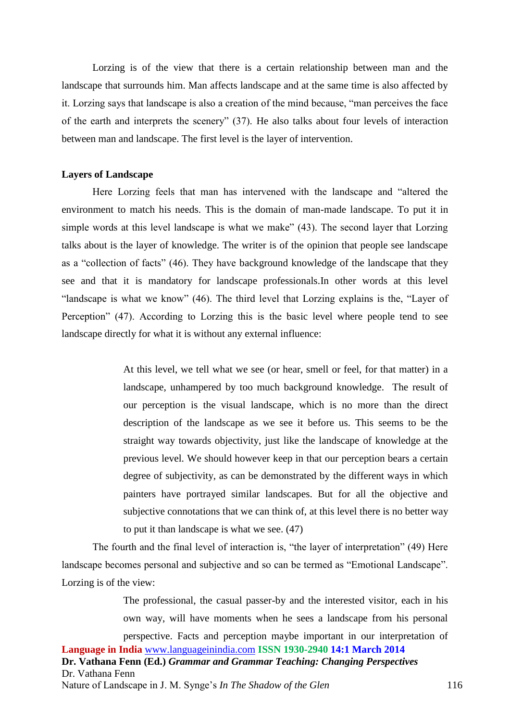Lorzing is of the view that there is a certain relationship between man and the landscape that surrounds him. Man affects landscape and at the same time is also affected by it. Lorzing says that landscape is also a creation of the mind because, "man perceives the face of the earth and interprets the scenery" (37). He also talks about four levels of interaction between man and landscape. The first level is the layer of intervention.

#### **Layers of Landscape**

Here Lorzing feels that man has intervened with the landscape and "altered the environment to match his needs. This is the domain of man-made landscape. To put it in simple words at this level landscape is what we make" (43). The second layer that Lorzing talks about is the layer of knowledge. The writer is of the opinion that people see landscape as a "collection of facts" (46). They have background knowledge of the landscape that they see and that it is mandatory for landscape professionals.In other words at this level "landscape is what we know" (46). The third level that Lorzing explains is the, "Layer of Perception" (47). According to Lorzing this is the basic level where people tend to see landscape directly for what it is without any external influence:

> At this level, we tell what we see (or hear, smell or feel, for that matter) in a landscape, unhampered by too much background knowledge. The result of our perception is the visual landscape, which is no more than the direct description of the landscape as we see it before us. This seems to be the straight way towards objectivity, just like the landscape of knowledge at the previous level. We should however keep in that our perception bears a certain degree of subjectivity, as can be demonstrated by the different ways in which painters have portrayed similar landscapes. But for all the objective and subjective connotations that we can think of, at this level there is no better way to put it than landscape is what we see. (47)

The fourth and the final level of interaction is, "the layer of interpretation" (49) Here landscape becomes personal and subjective and so can be termed as "Emotional Landscape". Lorzing is of the view:

**Language in India** [www.languageinindia.com](http://www.languageinindia.com/) **ISSN 1930-2940 14:1 March 2014 Dr. Vathana Fenn (Ed.)** *Grammar and Grammar Teaching: Changing Perspectives* Dr. Vathana Fenn Nature of Landscape in J. M. Synge's *In The Shadow of the Glen* 116 The professional, the casual passer-by and the interested visitor, each in his own way, will have moments when he sees a landscape from his personal perspective. Facts and perception maybe important in our interpretation of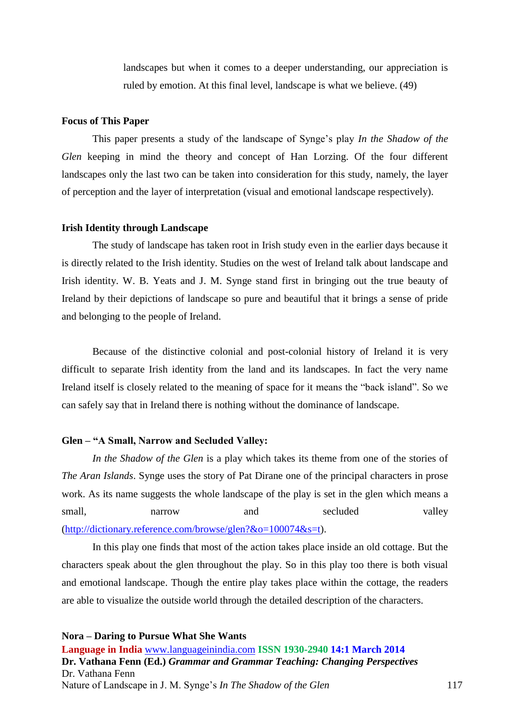landscapes but when it comes to a deeper understanding, our appreciation is ruled by emotion. At this final level, landscape is what we believe. (49)

#### **Focus of This Paper**

This paper presents a study of the landscape of Synge's play *In the Shadow of the Glen* keeping in mind the theory and concept of Han Lorzing. Of the four different landscapes only the last two can be taken into consideration for this study, namely, the layer of perception and the layer of interpretation (visual and emotional landscape respectively).

#### **Irish Identity through Landscape**

The study of landscape has taken root in Irish study even in the earlier days because it is directly related to the Irish identity. Studies on the west of Ireland talk about landscape and Irish identity. W. B. Yeats and J. M. Synge stand first in bringing out the true beauty of Ireland by their depictions of landscape so pure and beautiful that it brings a sense of pride and belonging to the people of Ireland.

Because of the distinctive colonial and post-colonial history of Ireland it is very difficult to separate Irish identity from the land and its landscapes. In fact the very name Ireland itself is closely related to the meaning of space for it means the "back island". So we can safely say that in Ireland there is nothing without the dominance of landscape.

#### **Glen – "A Small, Narrow and Secluded Valley:**

*In the Shadow of the Glen* is a play which takes its theme from one of the stories of *The Aran Islands*. Synge uses the story of Pat Dirane one of the principal characters in prose work. As its name suggests the whole landscape of the play is set in the glen which means a small, and secluded valley [\(http://dictionary.reference.com/browse/glen?&o=100074&s=t\)](http://dictionary.reference.com/browse/glen?&o=100074&s=t).

In this play one finds that most of the action takes place inside an old cottage. But the characters speak about the glen throughout the play. So in this play too there is both visual and emotional landscape. Though the entire play takes place within the cottage, the readers are able to visualize the outside world through the detailed description of the characters.

**Language in India** [www.languageinindia.com](http://www.languageinindia.com/) **ISSN 1930-2940 14:1 March 2014 Dr. Vathana Fenn (Ed.)** *Grammar and Grammar Teaching: Changing Perspectives* Dr. Vathana Fenn Nature of Landscape in J. M. Synge's *In The Shadow of the Glen* 117 **Nora – Daring to Pursue What She Wants**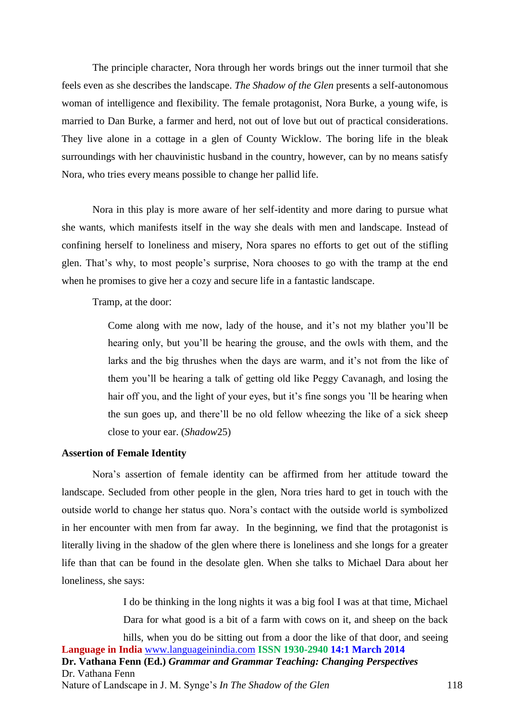The principle character, Nora through her words brings out the inner turmoil that she feels even as she describes the landscape. *The Shadow of the Glen* presents a self-autonomous woman of intelligence and flexibility. The female protagonist, Nora Burke, a young wife, is married to Dan Burke, a farmer and herd, not out of love but out of practical considerations. They live alone in a cottage in a glen of County Wicklow. The boring life in the bleak surroundings with her chauvinistic husband in the country, however, can by no means satisfy Nora, who tries every means possible to change her pallid life.

Nora in this play is more aware of her self-identity and more daring to pursue what she wants, which manifests itself in the way she deals with men and landscape. Instead of confining herself to loneliness and misery, Nora spares no efforts to get out of the stifling glen. That's why, to most people's surprise, Nora chooses to go with the tramp at the end when he promises to give her a cozy and secure life in a fantastic landscape.

Tramp, at the door:

Come along with me now, lady of the house, and it's not my blather you'll be hearing only, but you'll be hearing the grouse, and the owls with them, and the larks and the big thrushes when the days are warm, and it's not from the like of them you'll be hearing a talk of getting old like Peggy Cavanagh, and losing the hair off you, and the light of your eyes, but it's fine songs you 'll be hearing when the sun goes up, and there'll be no old fellow wheezing the like of a sick sheep close to your ear. (*Shadow*25)

#### **Assertion of Female Identity**

Nora's assertion of female identity can be affirmed from her attitude toward the landscape. Secluded from other people in the glen, Nora tries hard to get in touch with the outside world to change her status quo. Nora's contact with the outside world is symbolized in her encounter with men from far away. In the beginning, we find that the protagonist is literally living in the shadow of the glen where there is loneliness and she longs for a greater life than that can be found in the desolate glen. When she talks to Michael Dara about her loneliness, she says:

> I do be thinking in the long nights it was a big fool I was at that time, Michael Dara for what good is a bit of a farm with cows on it, and sheep on the back

**Language in India** [www.languageinindia.com](http://www.languageinindia.com/) **ISSN 1930-2940 14:1 March 2014 Dr. Vathana Fenn (Ed.)** *Grammar and Grammar Teaching: Changing Perspectives* Dr. Vathana Fenn Nature of Landscape in J. M. Synge's *In The Shadow of the Glen* 118 hills, when you do be sitting out from a door the like of that door, and seeing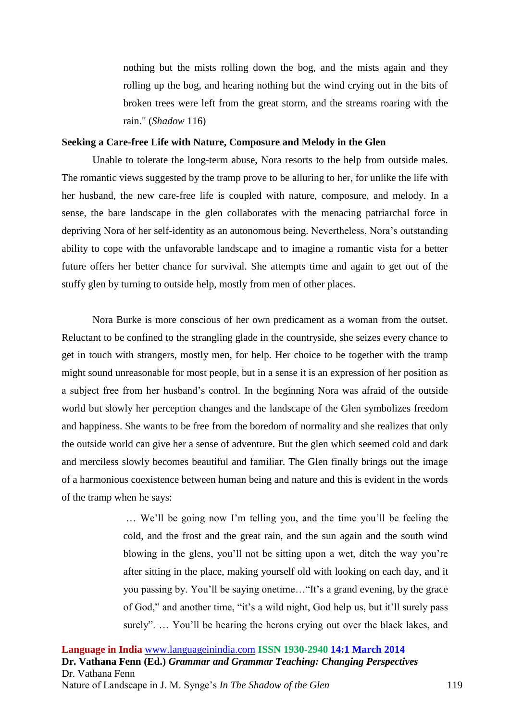nothing but the mists rolling down the bog, and the mists again and they rolling up the bog, and hearing nothing but the wind crying out in the bits of broken trees were left from the great storm, and the streams roaring with the rain." (*Shadow* 116)

#### **Seeking a Care-free Life with Nature, Composure and Melody in the Glen**

Unable to tolerate the long-term abuse, Nora resorts to the help from outside males. The romantic views suggested by the tramp prove to be alluring to her, for unlike the life with her husband, the new care-free life is coupled with nature, composure, and melody. In a sense, the bare landscape in the glen collaborates with the menacing patriarchal force in depriving Nora of her self-identity as an autonomous being. Nevertheless, Nora's outstanding ability to cope with the unfavorable landscape and to imagine a romantic vista for a better future offers her better chance for survival. She attempts time and again to get out of the stuffy glen by turning to outside help, mostly from men of other places.

Nora Burke is more conscious of her own predicament as a woman from the outset. Reluctant to be confined to the strangling glade in the countryside, she seizes every chance to get in touch with strangers, mostly men, for help. Her choice to be together with the tramp might sound unreasonable for most people, but in a sense it is an expression of her position as a subject free from her husband's control. In the beginning Nora was afraid of the outside world but slowly her perception changes and the landscape of the Glen symbolizes freedom and happiness. She wants to be free from the boredom of normality and she realizes that only the outside world can give her a sense of adventure. But the glen which seemed cold and dark and merciless slowly becomes beautiful and familiar. The Glen finally brings out the image of a harmonious coexistence between human being and nature and this is evident in the words of the tramp when he says:

> … We'll be going now I'm telling you, and the time you'll be feeling the cold, and the frost and the great rain, and the sun again and the south wind blowing in the glens, you'll not be sitting upon a wet, ditch the way you're after sitting in the place, making yourself old with looking on each day, and it you passing by. You'll be saying onetime…"It's a grand evening, by the grace of God," and another time, "it's a wild night, God help us, but it'll surely pass surely". … You'll be hearing the herons crying out over the black lakes, and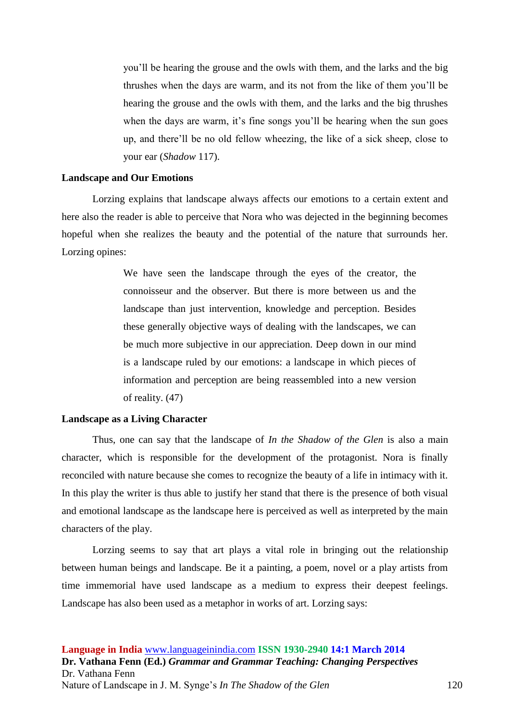you'll be hearing the grouse and the owls with them, and the larks and the big thrushes when the days are warm, and its not from the like of them you'll be hearing the grouse and the owls with them, and the larks and the big thrushes when the days are warm, it's fine songs you'll be hearing when the sun goes up, and there'll be no old fellow wheezing, the like of a sick sheep, close to your ear (*Shadow* 117).

#### **Landscape and Our Emotions**

Lorzing explains that landscape always affects our emotions to a certain extent and here also the reader is able to perceive that Nora who was dejected in the beginning becomes hopeful when she realizes the beauty and the potential of the nature that surrounds her. Lorzing opines:

> We have seen the landscape through the eyes of the creator, the connoisseur and the observer. But there is more between us and the landscape than just intervention, knowledge and perception. Besides these generally objective ways of dealing with the landscapes, we can be much more subjective in our appreciation. Deep down in our mind is a landscape ruled by our emotions: a landscape in which pieces of information and perception are being reassembled into a new version of reality. (47)

#### **Landscape as a Living Character**

Thus, one can say that the landscape of *In the Shadow of the Glen* is also a main character, which is responsible for the development of the protagonist. Nora is finally reconciled with nature because she comes to recognize the beauty of a life in intimacy with it. In this play the writer is thus able to justify her stand that there is the presence of both visual and emotional landscape as the landscape here is perceived as well as interpreted by the main characters of the play.

Lorzing seems to say that art plays a vital role in bringing out the relationship between human beings and landscape. Be it a painting, a poem, novel or a play artists from time immemorial have used landscape as a medium to express their deepest feelings. Landscape has also been used as a metaphor in works of art. Lorzing says: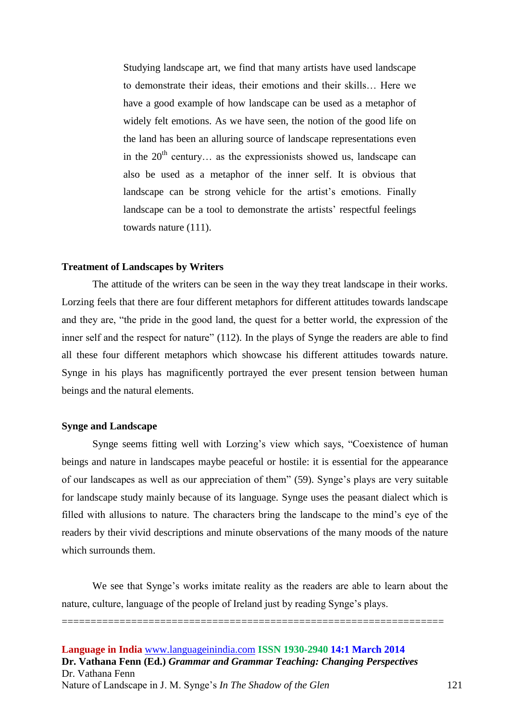Studying landscape art, we find that many artists have used landscape to demonstrate their ideas, their emotions and their skills… Here we have a good example of how landscape can be used as a metaphor of widely felt emotions. As we have seen, the notion of the good life on the land has been an alluring source of landscape representations even in the  $20<sup>th</sup>$  century... as the expressionists showed us, landscape can also be used as a metaphor of the inner self. It is obvious that landscape can be strong vehicle for the artist's emotions. Finally landscape can be a tool to demonstrate the artists' respectful feelings towards nature (111).

#### **Treatment of Landscapes by Writers**

The attitude of the writers can be seen in the way they treat landscape in their works. Lorzing feels that there are four different metaphors for different attitudes towards landscape and they are, "the pride in the good land, the quest for a better world, the expression of the inner self and the respect for nature" (112). In the plays of Synge the readers are able to find all these four different metaphors which showcase his different attitudes towards nature. Synge in his plays has magnificently portrayed the ever present tension between human beings and the natural elements.

#### **Synge and Landscape**

Synge seems fitting well with Lorzing's view which says, "Coexistence of human beings and nature in landscapes maybe peaceful or hostile: it is essential for the appearance of our landscapes as well as our appreciation of them" (59). Synge's plays are very suitable for landscape study mainly because of its language. Synge uses the peasant dialect which is filled with allusions to nature. The characters bring the landscape to the mind's eye of the readers by their vivid descriptions and minute observations of the many moods of the nature which surrounds them.

We see that Synge's works imitate reality as the readers are able to learn about the nature, culture, language of the people of Ireland just by reading Synge's plays.

==================================================================